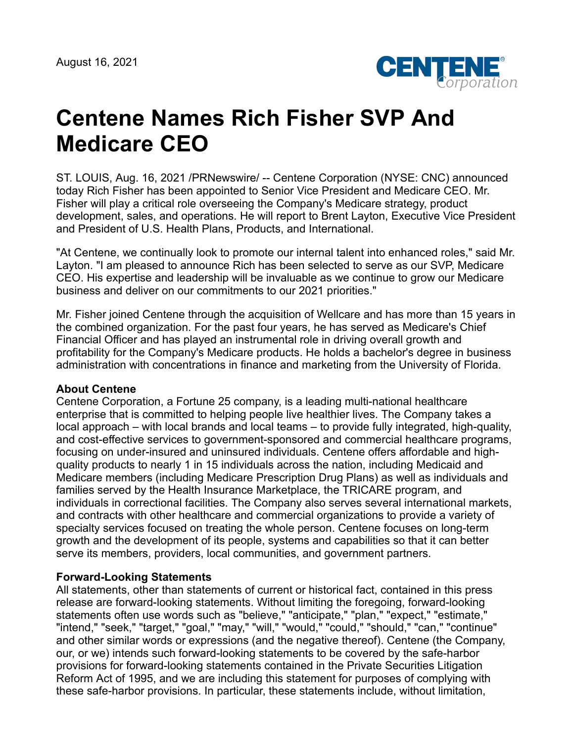

## **Centene Names Rich Fisher SVP And Medicare CEO**

ST. LOUIS, Aug. 16, 2021 /PRNewswire/ -- Centene Corporation (NYSE: CNC) announced today Rich Fisher has been appointed to Senior Vice President and Medicare CEO. Mr. Fisher will play a critical role overseeing the Company's Medicare strategy, product development, sales, and operations. He will report to Brent Layton, Executive Vice President and President of U.S. Health Plans, Products, and International.

"At Centene, we continually look to promote our internal talent into enhanced roles," said Mr. Layton. "I am pleased to announce Rich has been selected to serve as our SVP, Medicare CEO. His expertise and leadership will be invaluable as we continue to grow our Medicare business and deliver on our commitments to our 2021 priorities."

Mr. Fisher joined Centene through the acquisition of Wellcare and has more than 15 years in the combined organization. For the past four years, he has served as Medicare's Chief Financial Officer and has played an instrumental role in driving overall growth and profitability for the Company's Medicare products. He holds a bachelor's degree in business administration with concentrations in finance and marketing from the University of Florida.

## **About Centene**

Centene Corporation, a Fortune 25 company, is a leading multi-national healthcare enterprise that is committed to helping people live healthier lives. The Company takes a local approach – with local brands and local teams – to provide fully integrated, high-quality, and cost-effective services to government-sponsored and commercial healthcare programs, focusing on under-insured and uninsured individuals. Centene offers affordable and highquality products to nearly 1 in 15 individuals across the nation, including Medicaid and Medicare members (including Medicare Prescription Drug Plans) as well as individuals and families served by the Health Insurance Marketplace, the TRICARE program, and individuals in correctional facilities. The Company also serves several international markets, and contracts with other healthcare and commercial organizations to provide a variety of specialty services focused on treating the whole person. Centene focuses on long-term growth and the development of its people, systems and capabilities so that it can better serve its members, providers, local communities, and government partners.

## **Forward-Looking Statements**

All statements, other than statements of current or historical fact, contained in this press release are forward-looking statements. Without limiting the foregoing, forward-looking statements often use words such as "believe," "anticipate," "plan," "expect," "estimate," "intend," "seek," "target," "goal," "may," "will," "would," "could," "should," "can," "continue" and other similar words or expressions (and the negative thereof). Centene (the Company, our, or we) intends such forward-looking statements to be covered by the safe-harbor provisions for forward-looking statements contained in the Private Securities Litigation Reform Act of 1995, and we are including this statement for purposes of complying with these safe-harbor provisions. In particular, these statements include, without limitation,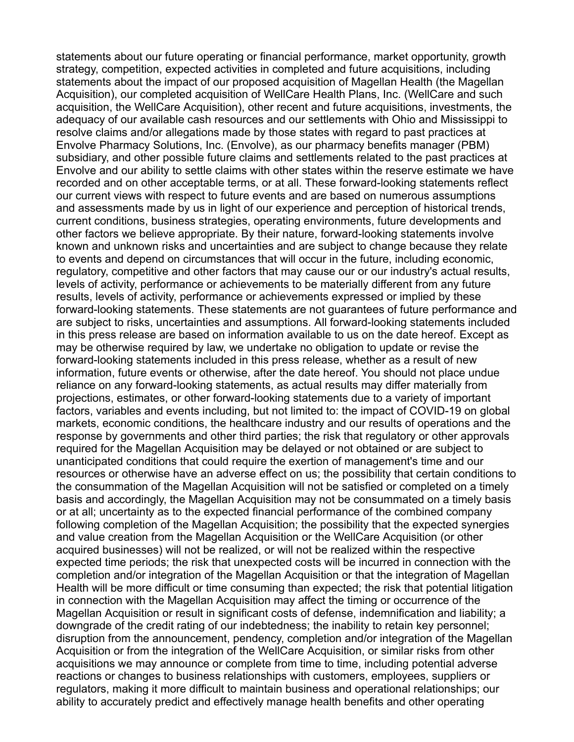statements about our future operating or financial performance, market opportunity, growth strategy, competition, expected activities in completed and future acquisitions, including statements about the impact of our proposed acquisition of Magellan Health (the Magellan Acquisition), our completed acquisition of WellCare Health Plans, Inc. (WellCare and such acquisition, the WellCare Acquisition), other recent and future acquisitions, investments, the adequacy of our available cash resources and our settlements with Ohio and Mississippi to resolve claims and/or allegations made by those states with regard to past practices at Envolve Pharmacy Solutions, Inc. (Envolve), as our pharmacy benefits manager (PBM) subsidiary, and other possible future claims and settlements related to the past practices at Envolve and our ability to settle claims with other states within the reserve estimate we have recorded and on other acceptable terms, or at all. These forward-looking statements reflect our current views with respect to future events and are based on numerous assumptions and assessments made by us in light of our experience and perception of historical trends, current conditions, business strategies, operating environments, future developments and other factors we believe appropriate. By their nature, forward-looking statements involve known and unknown risks and uncertainties and are subject to change because they relate to events and depend on circumstances that will occur in the future, including economic, regulatory, competitive and other factors that may cause our or our industry's actual results, levels of activity, performance or achievements to be materially different from any future results, levels of activity, performance or achievements expressed or implied by these forward-looking statements. These statements are not guarantees of future performance and are subject to risks, uncertainties and assumptions. All forward-looking statements included in this press release are based on information available to us on the date hereof. Except as may be otherwise required by law, we undertake no obligation to update or revise the forward-looking statements included in this press release, whether as a result of new information, future events or otherwise, after the date hereof. You should not place undue reliance on any forward-looking statements, as actual results may differ materially from projections, estimates, or other forward-looking statements due to a variety of important factors, variables and events including, but not limited to: the impact of COVID-19 on global markets, economic conditions, the healthcare industry and our results of operations and the response by governments and other third parties; the risk that regulatory or other approvals required for the Magellan Acquisition may be delayed or not obtained or are subject to unanticipated conditions that could require the exertion of management's time and our resources or otherwise have an adverse effect on us; the possibility that certain conditions to the consummation of the Magellan Acquisition will not be satisfied or completed on a timely basis and accordingly, the Magellan Acquisition may not be consummated on a timely basis or at all; uncertainty as to the expected financial performance of the combined company following completion of the Magellan Acquisition; the possibility that the expected synergies and value creation from the Magellan Acquisition or the WellCare Acquisition (or other acquired businesses) will not be realized, or will not be realized within the respective expected time periods; the risk that unexpected costs will be incurred in connection with the completion and/or integration of the Magellan Acquisition or that the integration of Magellan Health will be more difficult or time consuming than expected; the risk that potential litigation in connection with the Magellan Acquisition may affect the timing or occurrence of the Magellan Acquisition or result in significant costs of defense, indemnification and liability; a downgrade of the credit rating of our indebtedness; the inability to retain key personnel; disruption from the announcement, pendency, completion and/or integration of the Magellan Acquisition or from the integration of the WellCare Acquisition, or similar risks from other acquisitions we may announce or complete from time to time, including potential adverse reactions or changes to business relationships with customers, employees, suppliers or regulators, making it more difficult to maintain business and operational relationships; our ability to accurately predict and effectively manage health benefits and other operating